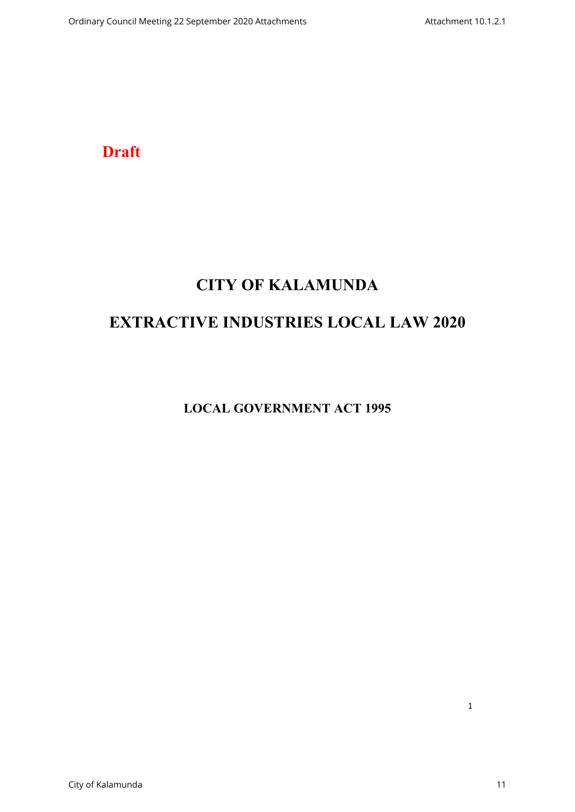**Draft**

# **CITY OF KALAMUNDA**

# **EXTRACTIVE INDUSTRIES LOCAL LAW 2020**

**LOCAL GOVERNMENT ACT 1995**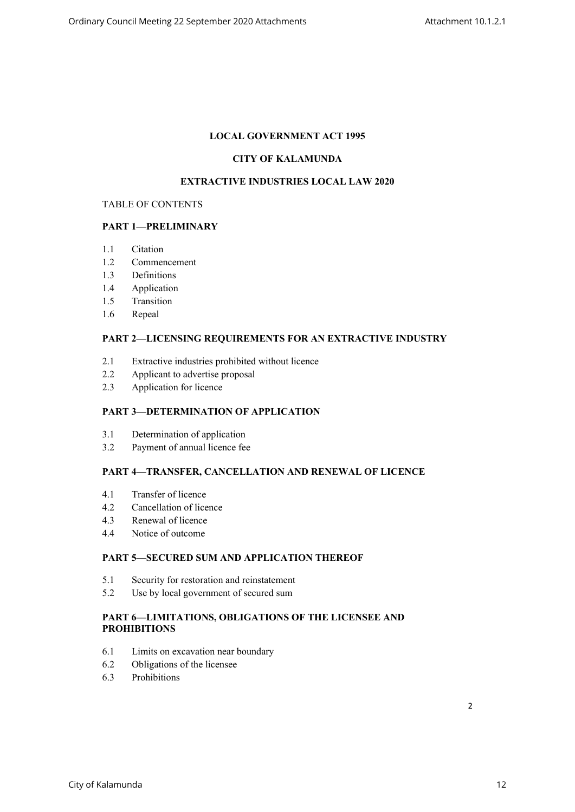# **LOCAL GOVERNMENT ACT 1995**

# **CITY OF KALAMUNDA**

#### **EXTRACTIVE INDUSTRIES LOCAL LAW 2020**

#### TABLE OF CONTENTS

### **PART 1—PRELIMINARY**

- 1.1 Citation
- 1.2 Commencement
- 1.3 Definitions
- 1.4 Application
- 1.5 Transition
- 1.6 Repeal

#### **PART 2—LICENSING REQUIREMENTS FOR AN EXTRACTIVE INDUSTRY**

- 2.1 Extractive industries prohibited without licence
- 2.2 Applicant to advertise proposal
- 2.3 Application for licence

#### **PART 3—DETERMINATION OF APPLICATION**

- 3.1 Determination of application
- 3.2 Payment of annual licence fee

## **PART 4—TRANSFER, CANCELLATION AND RENEWAL OF LICENCE**

- 4.1 Transfer of licence
- 4.2 Cancellation of licence
- 4.3 Renewal of licence
- 4.4 Notice of outcome

## **PART 5—SECURED SUM AND APPLICATION THEREOF**

- 5.1 Security for restoration and reinstatement
- 5.2 Use by local government of secured sum

#### **PART 6—LIMITATIONS, OBLIGATIONS OF THE LICENSEE AND PROHIBITIONS**

- 6.1 Limits on excavation near boundary
- 6.2 Obligations of the licensee
- 6.3 Prohibitions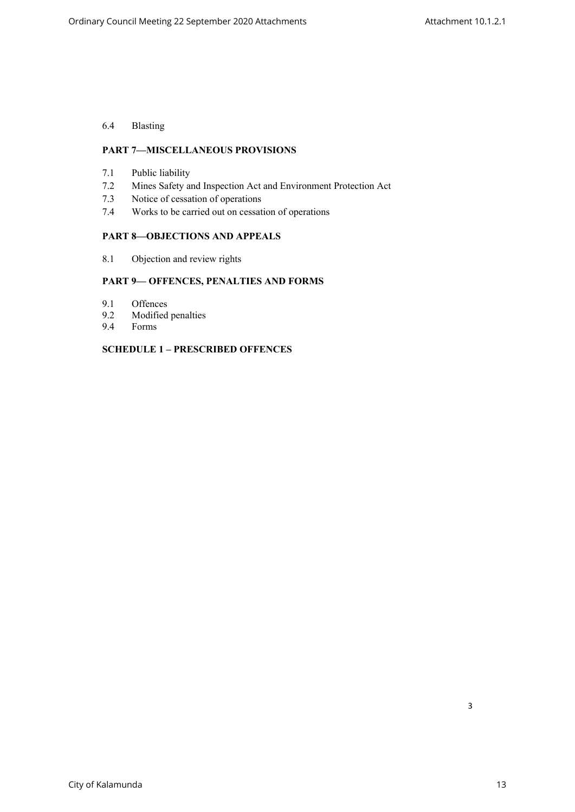# 6.4 Blasting

### **PART 7—MISCELLANEOUS PROVISIONS**

- 7.1 Public liability
- 7.2 Mines Safety and Inspection Act and Environment Protection Act
- 7.3 Notice of cessation of operations
- 7.4 Works to be carried out on cessation of operations

#### **PART 8—OBJECTIONS AND APPEALS**

8.1 Objection and review rights

# **PART 9— OFFENCES, PENALTIES AND FORMS**

- 9.1 Offences
- 9.2 Modified penalties<br>9.4 Forms
- 9.4 Forms

#### **SCHEDULE 1 – PRESCRIBED OFFENCES**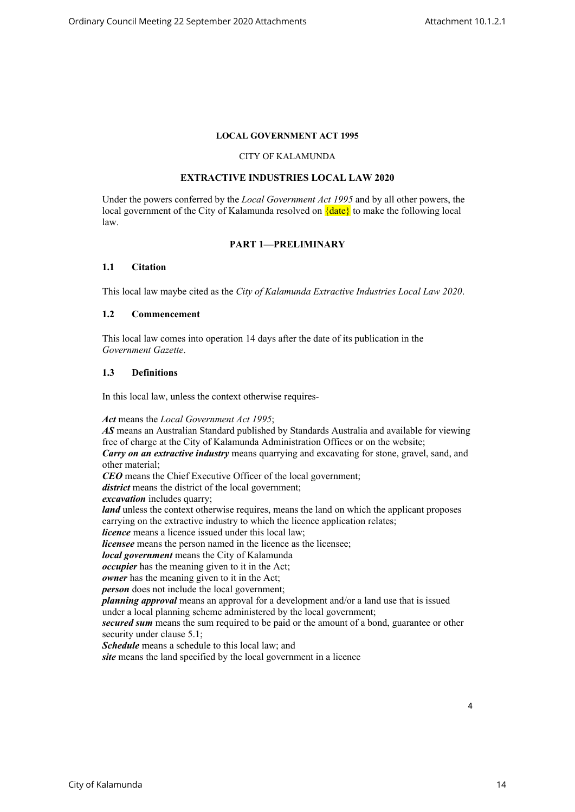#### **LOCAL GOVERNMENT ACT 1995**

#### CITY OF KALAMUNDA

## **EXTRACTIVE INDUSTRIES LOCAL LAW 2020**

Under the powers conferred by the *Local Government Act 1995* and by all other powers, the local government of the City of Kalamunda resolved on  $\{date\}$  to make the following local law.

#### **PART 1—PRELIMINARY**

#### **1.1 Citation**

This local law maybe cited as the *City of Kalamunda Extractive Industries Local Law 2020*.

#### **1.2 Commencement**

This local law comes into operation 14 days after the date of its publication in the *Government Gazette*.

#### **1.3 Definitions**

In this local law, unless the context otherwise requires-

*Act* means the *Local Government Act 1995*;

*AS* means an Australian Standard published by Standards Australia and available for viewing free of charge at the City of Kalamunda Administration Offices or on the website; *Carry on an extractive industry* means quarrying and excavating for stone, gravel, sand, and other material; *CEO* means the Chief Executive Officer of the local government; *district* means the district of the local government; *excavation* includes quarry; *land* unless the context otherwise requires, means the land on which the applicant proposes carrying on the extractive industry to which the licence application relates; *licence* means a licence issued under this local law; *licensee* means the person named in the licence as the licensee; *local government* means the City of Kalamunda *occupier* has the meaning given to it in the Act; *owner* has the meaning given to it in the Act; *person* does not include the local government; *planning approval* means an approval for a development and/or a land use that is issued under a local planning scheme administered by the local government; *secured sum* means the sum required to be paid or the amount of a bond, guarantee or other security under clause 5.1; *Schedule* means a schedule to this local law; and *site* means the land specified by the local government in a licence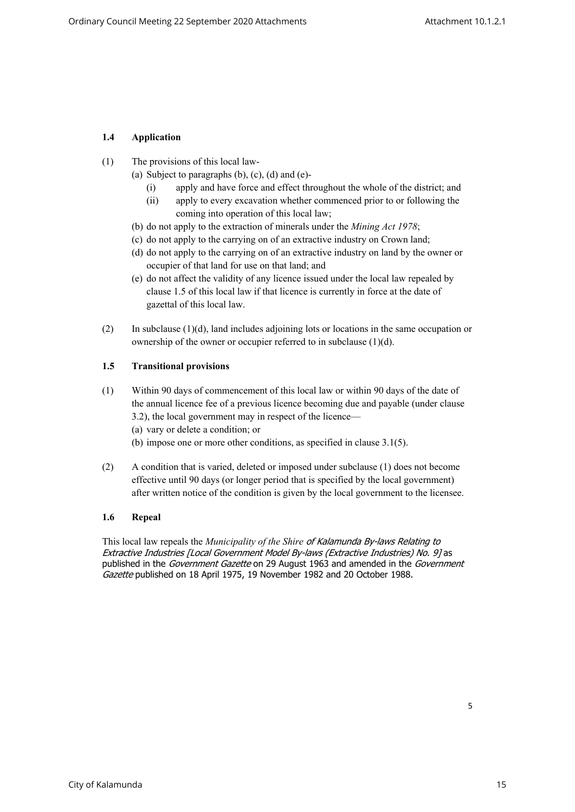# **1.4 Application**

- (1) The provisions of this local law-
	- (a) Subject to paragraphs  $(b)$ ,  $(c)$ ,  $(d)$  and  $(e)$ -
		- (i) apply and have force and effect throughout the whole of the district; and
		- (ii) apply to every excavation whether commenced prior to or following the coming into operation of this local law;
	- (b) do not apply to the extraction of minerals under the *Mining Act 1978*;
	- (c) do not apply to the carrying on of an extractive industry on Crown land;
	- (d) do not apply to the carrying on of an extractive industry on land by the owner or occupier of that land for use on that land; and
	- (e) do not affect the validity of any licence issued under the local law repealed by clause 1.5 of this local law if that licence is currently in force at the date of gazettal of this local law.
- (2) In subclause (1)(d), land includes adjoining lots or locations in the same occupation or ownership of the owner or occupier referred to in subclause (1)(d).

# **1.5 Transitional provisions**

- (1) Within 90 days of commencement of this local law or within 90 days of the date of the annual licence fee of a previous licence becoming due and payable (under clause 3.2), the local government may in respect of the licence—
	- (a) vary or delete a condition; or
	- (b) impose one or more other conditions, as specified in clause 3.1(5).
- (2) A condition that is varied, deleted or imposed under subclause (1) does not become effective until 90 days (or longer period that is specified by the local government) after written notice of the condition is given by the local government to the licensee.

# **1.6 Repeal**

This local law repeals the *Municipality of the Shire of Kalamunda By-laws Relating to Extractive Industries [Local Government Model By-laws (Extractive Industries) No. 9]* as published in the *Government Gazette* on 29 August 1963 and amended in the *Government Gazette* published on 18 April 1975, 19 November 1982 and 20 October 1988.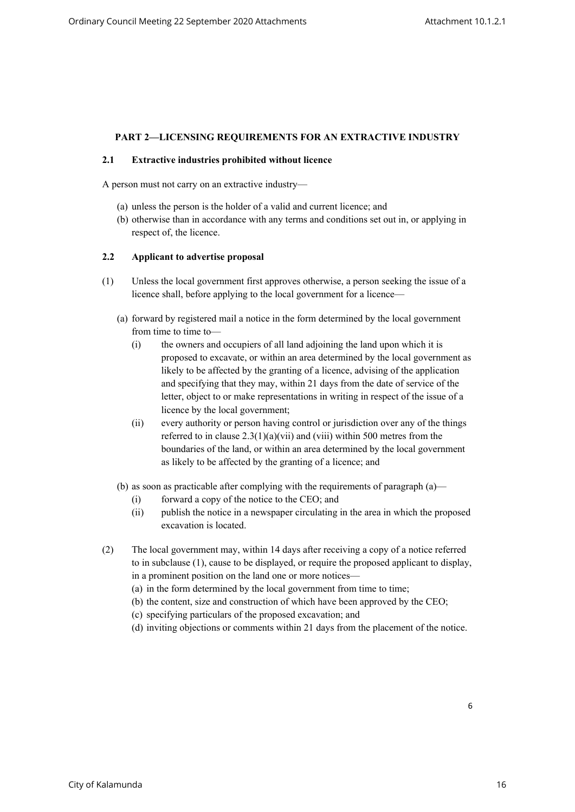### **PART 2—LICENSING REQUIREMENTS FOR AN EXTRACTIVE INDUSTRY**

#### **2.1 Extractive industries prohibited without licence**

A person must not carry on an extractive industry—

- (a) unless the person is the holder of a valid and current licence; and
- (b) otherwise than in accordance with any terms and conditions set out in, or applying in respect of, the licence.

#### **2.2 Applicant to advertise proposal**

- (1) Unless the local government first approves otherwise, a person seeking the issue of a licence shall, before applying to the local government for a licence—
	- (a) forward by registered mail a notice in the form determined by the local government from time to time to-
		- (i) the owners and occupiers of all land adjoining the land upon which it is proposed to excavate, or within an area determined by the local government as likely to be affected by the granting of a licence, advising of the application and specifying that they may, within 21 days from the date of service of the letter, object to or make representations in writing in respect of the issue of a licence by the local government;
		- (ii) every authority or person having control or jurisdiction over any of the things referred to in clause  $2.3(1)(a)(vii)$  and (viii) within 500 metres from the boundaries of the land, or within an area determined by the local government as likely to be affected by the granting of a licence; and
	- (b) as soon as practicable after complying with the requirements of paragraph (a)—
		- (i) forward a copy of the notice to the CEO; and
		- (ii) publish the notice in a newspaper circulating in the area in which the proposed excavation is located.
- (2) The local government may, within 14 days after receiving a copy of a notice referred to in subclause (1), cause to be displayed, or require the proposed applicant to display, in a prominent position on the land one or more notices—
	- (a) in the form determined by the local government from time to time;
	- (b) the content, size and construction of which have been approved by the CEO;
	- (c) specifying particulars of the proposed excavation; and
	- (d) inviting objections or comments within 21 days from the placement of the notice.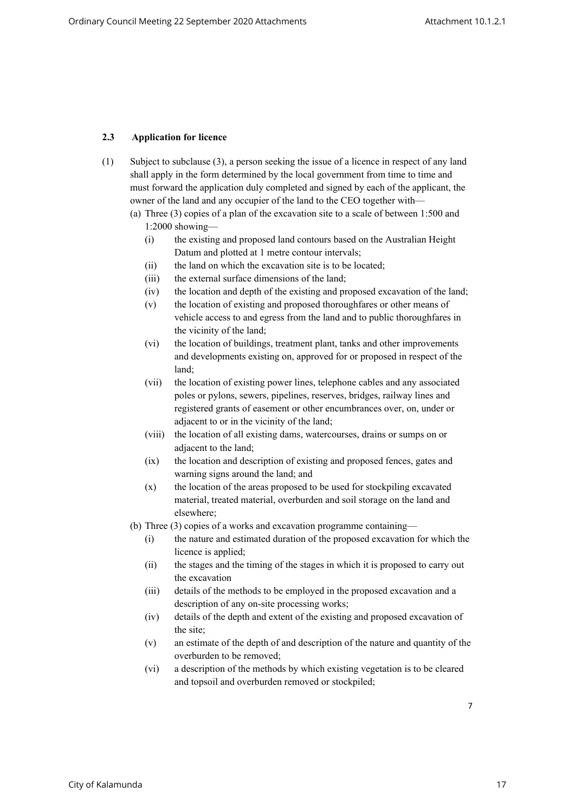# **2.3 Application for licence**

- (1) Subject to subclause (3), a person seeking the issue of a licence in respect of any land shall apply in the form determined by the local government from time to time and must forward the application duly completed and signed by each of the applicant, the owner of the land and any occupier of the land to the CEO together with—
	- (a) Three (3) copies of a plan of the excavation site to a scale of between 1:500 and 1:2000 showing—
		- (i) the existing and proposed land contours based on the Australian Height Datum and plotted at 1 metre contour intervals;
		- (ii) the land on which the excavation site is to be located;
		- (iii) the external surface dimensions of the land;
		- (iv) the location and depth of the existing and proposed excavation of the land;
		- (v) the location of existing and proposed thoroughfares or other means of vehicle access to and egress from the land and to public thoroughfares in the vicinity of the land;
		- (vi) the location of buildings, treatment plant, tanks and other improvements and developments existing on, approved for or proposed in respect of the land;
		- (vii) the location of existing power lines, telephone cables and any associated poles or pylons, sewers, pipelines, reserves, bridges, railway lines and registered grants of easement or other encumbrances over, on, under or adjacent to or in the vicinity of the land;
		- (viii) the location of all existing dams, watercourses, drains or sumps on or adjacent to the land;
		- (ix) the location and description of existing and proposed fences, gates and warning signs around the land; and
		- (x) the location of the areas proposed to be used for stockpiling excavated material, treated material, overburden and soil storage on the land and elsewhere;
	- (b) Three (3) copies of a works and excavation programme containing—
		- (i) the nature and estimated duration of the proposed excavation for which the licence is applied;
		- (ii) the stages and the timing of the stages in which it is proposed to carry out the excavation
		- (iii) details of the methods to be employed in the proposed excavation and a description of any on-site processing works;
		- (iv) details of the depth and extent of the existing and proposed excavation of the site;
		- (v) an estimate of the depth of and description of the nature and quantity of the overburden to be removed;
		- (vi) a description of the methods by which existing vegetation is to be cleared and topsoil and overburden removed or stockpiled;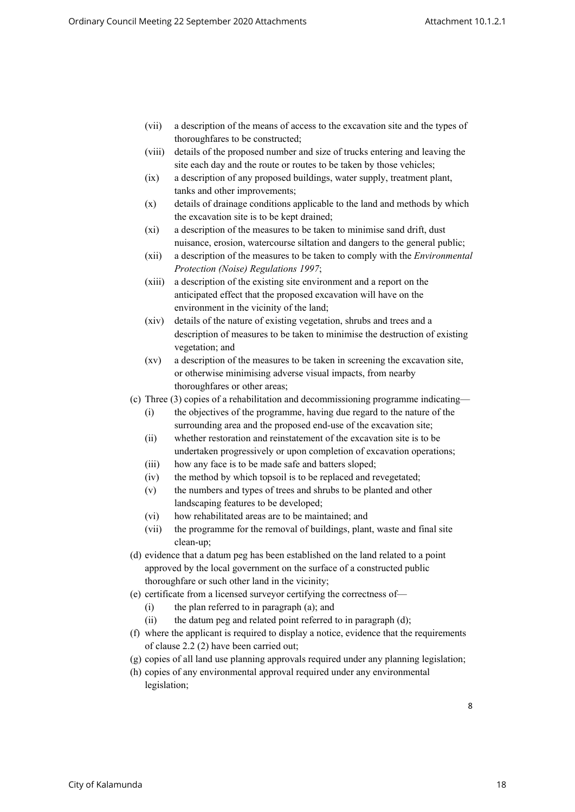- (vii) a description of the means of access to the excavation site and the types of thoroughfares to be constructed;
- (viii) details of the proposed number and size of trucks entering and leaving the site each day and the route or routes to be taken by those vehicles;
- (ix) a description of any proposed buildings, water supply, treatment plant, tanks and other improvements;
- (x) details of drainage conditions applicable to the land and methods by which the excavation site is to be kept drained;
- (xi) a description of the measures to be taken to minimise sand drift, dust nuisance, erosion, watercourse siltation and dangers to the general public;
- (xii) a description of the measures to be taken to comply with the *Environmental Protection (Noise) Regulations 1997*;
- (xiii) a description of the existing site environment and a report on the anticipated effect that the proposed excavation will have on the environment in the vicinity of the land;
- (xiv) details of the nature of existing vegetation, shrubs and trees and a description of measures to be taken to minimise the destruction of existing vegetation; and
- (xv) a description of the measures to be taken in screening the excavation site, or otherwise minimising adverse visual impacts, from nearby thoroughfares or other areas;
- (c) Three (3) copies of a rehabilitation and decommissioning programme indicating—
	- (i) the objectives of the programme, having due regard to the nature of the surrounding area and the proposed end-use of the excavation site;
	- (ii) whether restoration and reinstatement of the excavation site is to be undertaken progressively or upon completion of excavation operations;
	- (iii) how any face is to be made safe and batters sloped;
	- (iv) the method by which topsoil is to be replaced and revegetated;
	- (v) the numbers and types of trees and shrubs to be planted and other landscaping features to be developed;
	- (vi) how rehabilitated areas are to be maintained; and
	- (vii) the programme for the removal of buildings, plant, waste and final site clean-up;
- (d) evidence that a datum peg has been established on the land related to a point approved by the local government on the surface of a constructed public thoroughfare or such other land in the vicinity;
- (e) certificate from a licensed surveyor certifying the correctness of—
	- (i) the plan referred to in paragraph (a); and
	- $(ii)$  the datum peg and related point referred to in paragraph  $(d)$ ;
- (f) where the applicant is required to display a notice, evidence that the requirements of clause 2.2 (2) have been carried out;
- (g) copies of all land use planning approvals required under any planning legislation;
- (h) copies of any environmental approval required under any environmental legislation;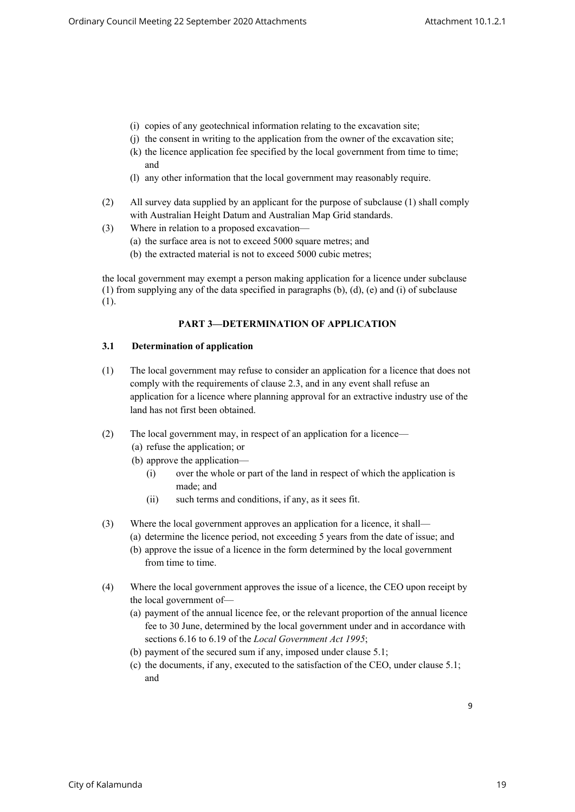- (i) copies of any geotechnical information relating to the excavation site;
- (j) the consent in writing to the application from the owner of the excavation site;
- (k) the licence application fee specified by the local government from time to time; and
- (l) any other information that the local government may reasonably require.
- (2) All survey data supplied by an applicant for the purpose of subclause (1) shall comply with Australian Height Datum and Australian Map Grid standards.
- (3) Where in relation to a proposed excavation—
	- (a) the surface area is not to exceed 5000 square metres; and
	- (b) the extracted material is not to exceed 5000 cubic metres;

the local government may exempt a person making application for a licence under subclause (1) from supplying any of the data specified in paragraphs (b), (d), (e) and (i) of subclause (1).

#### **PART 3—DETERMINATION OF APPLICATION**

#### **3.1 Determination of application**

- (1) The local government may refuse to consider an application for a licence that does not comply with the requirements of clause 2.3, and in any event shall refuse an application for a licence where planning approval for an extractive industry use of the land has not first been obtained.
- (2) The local government may, in respect of an application for a licence—
	- (a) refuse the application; or
	- (b) approve the application—
		- (i) over the whole or part of the land in respect of which the application is made; and
		- (ii) such terms and conditions, if any, as it sees fit.
- (3) Where the local government approves an application for a licence, it shall—
	- (a) determine the licence period, not exceeding 5 years from the date of issue; and
		- (b) approve the issue of a licence in the form determined by the local government from time to time.
- (4) Where the local government approves the issue of a licence, the CEO upon receipt by the local government of—
	- (a) payment of the annual licence fee, or the relevant proportion of the annual licence fee to 30 June, determined by the local government under and in accordance with sections 6.16 to 6.19 of the *Local Government Act 1995*;
	- (b) payment of the secured sum if any, imposed under clause 5.1;
	- (c) the documents, if any, executed to the satisfaction of the CEO, under clause 5.1; and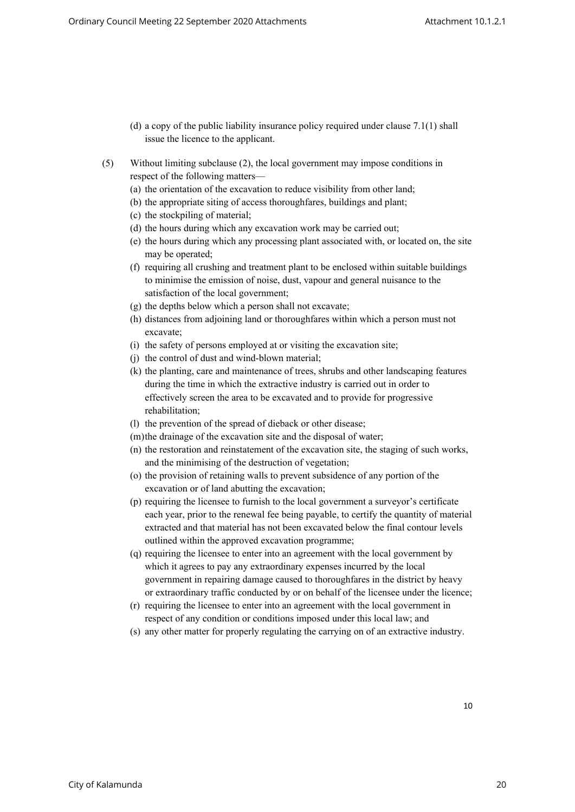- (d) a copy of the public liability insurance policy required under clause 7.1(1) shall issue the licence to the applicant.
- (5) Without limiting subclause (2), the local government may impose conditions in respect of the following matters—
	- (a) the orientation of the excavation to reduce visibility from other land;
	- (b) the appropriate siting of access thoroughfares, buildings and plant;
	- (c) the stockpiling of material;
	- (d) the hours during which any excavation work may be carried out;
	- (e) the hours during which any processing plant associated with, or located on, the site may be operated;
	- (f) requiring all crushing and treatment plant to be enclosed within suitable buildings to minimise the emission of noise, dust, vapour and general nuisance to the satisfaction of the local government;
	- (g) the depths below which a person shall not excavate;
	- (h) distances from adjoining land or thoroughfares within which a person must not excavate;
	- (i) the safety of persons employed at or visiting the excavation site;
	- (j) the control of dust and wind-blown material;
	- (k) the planting, care and maintenance of trees, shrubs and other landscaping features during the time in which the extractive industry is carried out in order to effectively screen the area to be excavated and to provide for progressive rehabilitation;
	- (l) the prevention of the spread of dieback or other disease;
	- (m)the drainage of the excavation site and the disposal of water;
	- (n) the restoration and reinstatement of the excavation site, the staging of such works, and the minimising of the destruction of vegetation;
	- (o) the provision of retaining walls to prevent subsidence of any portion of the excavation or of land abutting the excavation;
	- (p) requiring the licensee to furnish to the local government a surveyor's certificate each year, prior to the renewal fee being payable, to certify the quantity of material extracted and that material has not been excavated below the final contour levels outlined within the approved excavation programme;
	- (q) requiring the licensee to enter into an agreement with the local government by which it agrees to pay any extraordinary expenses incurred by the local government in repairing damage caused to thoroughfares in the district by heavy or extraordinary traffic conducted by or on behalf of the licensee under the licence;
	- (r) requiring the licensee to enter into an agreement with the local government in respect of any condition or conditions imposed under this local law; and
	- (s) any other matter for properly regulating the carrying on of an extractive industry.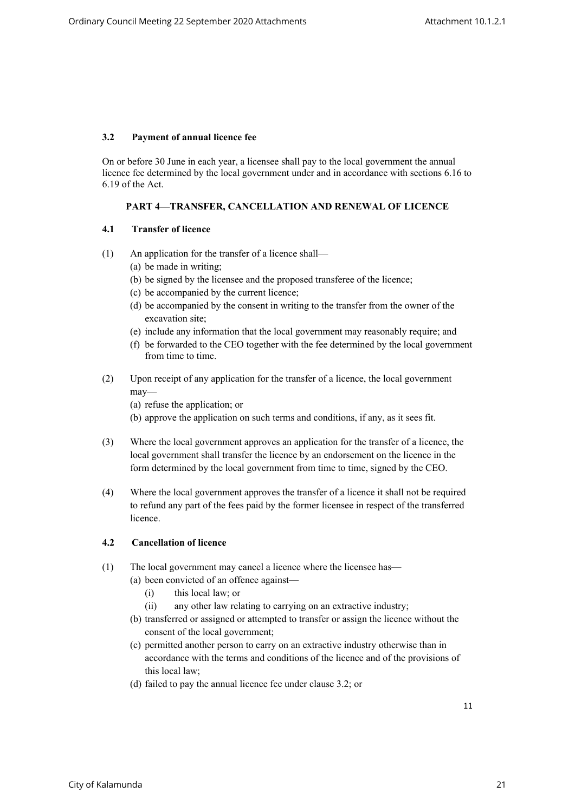#### **3.2 Payment of annual licence fee**

On or before 30 June in each year, a licensee shall pay to the local government the annual licence fee determined by the local government under and in accordance with sections 6.16 to 6.19 of the Act.

### **PART 4—TRANSFER, CANCELLATION AND RENEWAL OF LICENCE**

#### **4.1 Transfer of licence**

- (1) An application for the transfer of a licence shall—
	- (a) be made in writing;
	- (b) be signed by the licensee and the proposed transferee of the licence;
	- (c) be accompanied by the current licence;
	- (d) be accompanied by the consent in writing to the transfer from the owner of the excavation site;
	- (e) include any information that the local government may reasonably require; and
	- (f) be forwarded to the CEO together with the fee determined by the local government from time to time.
- (2) Upon receipt of any application for the transfer of a licence, the local government may—
	- (a) refuse the application; or
	- (b) approve the application on such terms and conditions, if any, as it sees fit.
- (3) Where the local government approves an application for the transfer of a licence, the local government shall transfer the licence by an endorsement on the licence in the form determined by the local government from time to time, signed by the CEO.
- (4) Where the local government approves the transfer of a licence it shall not be required to refund any part of the fees paid by the former licensee in respect of the transferred licence.

# **4.2 Cancellation of licence**

- (1) The local government may cancel a licence where the licensee has—
	- (a) been convicted of an offence against—
		- (i) this local law; or
		- (ii) any other law relating to carrying on an extractive industry;
	- (b) transferred or assigned or attempted to transfer or assign the licence without the consent of the local government;
	- (c) permitted another person to carry on an extractive industry otherwise than in accordance with the terms and conditions of the licence and of the provisions of this local law;
	- (d) failed to pay the annual licence fee under clause 3.2; or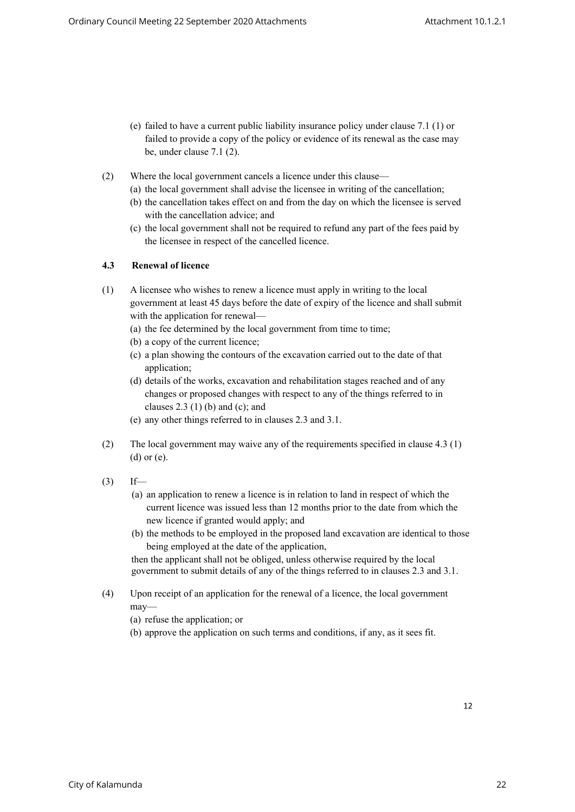- (e) failed to have a current public liability insurance policy under clause 7.1 (1) or failed to provide a copy of the policy or evidence of its renewal as the case may be, under clause 7.1 (2).
- (2) Where the local government cancels a licence under this clause—
	- (a) the local government shall advise the licensee in writing of the cancellation;
	- (b) the cancellation takes effect on and from the day on which the licensee is served with the cancellation advice; and
	- (c) the local government shall not be required to refund any part of the fees paid by the licensee in respect of the cancelled licence.

#### **4.3 Renewal of licence**

- (1) A licensee who wishes to renew a licence must apply in writing to the local government at least 45 days before the date of expiry of the licence and shall submit with the application for renewal—
	- (a) the fee determined by the local government from time to time;
	- (b) a copy of the current licence;
	- (c) a plan showing the contours of the excavation carried out to the date of that application;
	- (d) details of the works, excavation and rehabilitation stages reached and of any changes or proposed changes with respect to any of the things referred to in clauses  $2.3$  (1) (b) and (c); and
	- (e) any other things referred to in clauses 2.3 and 3.1.
- (2) The local government may waive any of the requirements specified in clause 4.3 (1) (d) or (e).
- $(3)$  If—
	- (a) an application to renew a licence is in relation to land in respect of which the current licence was issued less than 12 months prior to the date from which the new licence if granted would apply; and
	- (b) the methods to be employed in the proposed land excavation are identical to those being employed at the date of the application,

then the applicant shall not be obliged, unless otherwise required by the local government to submit details of any of the things referred to in clauses 2.3 and 3.1.

- (4) Upon receipt of an application for the renewal of a licence, the local government may—
	- (a) refuse the application; or
	- (b) approve the application on such terms and conditions, if any, as it sees fit.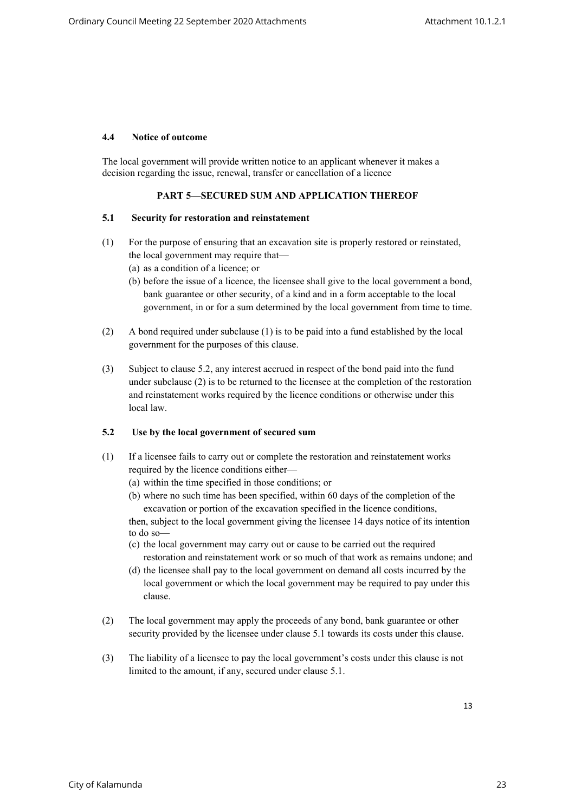#### **4.4 Notice of outcome**

The local government will provide written notice to an applicant whenever it makes a decision regarding the issue, renewal, transfer or cancellation of a licence

### **PART 5—SECURED SUM AND APPLICATION THEREOF**

#### **5.1 Security for restoration and reinstatement**

- (1) For the purpose of ensuring that an excavation site is properly restored or reinstated, the local government may require that—
	- (a) as a condition of a licence; or
	- (b) before the issue of a licence, the licensee shall give to the local government a bond, bank guarantee or other security, of a kind and in a form acceptable to the local government, in or for a sum determined by the local government from time to time.
- (2) A bond required under subclause (1) is to be paid into a fund established by the local government for the purposes of this clause.
- (3) Subject to clause 5.2, any interest accrued in respect of the bond paid into the fund under subclause (2) is to be returned to the licensee at the completion of the restoration and reinstatement works required by the licence conditions or otherwise under this local law.

#### **5.2 Use by the local government of secured sum**

- (1) If a licensee fails to carry out or complete the restoration and reinstatement works required by the licence conditions either—
	- (a) within the time specified in those conditions; or
	- (b) where no such time has been specified, within 60 days of the completion of the excavation or portion of the excavation specified in the licence conditions,

then, subject to the local government giving the licensee 14 days notice of its intention to do so—

- (c) the local government may carry out or cause to be carried out the required restoration and reinstatement work or so much of that work as remains undone; and
- (d) the licensee shall pay to the local government on demand all costs incurred by the local government or which the local government may be required to pay under this clause.
- (2) The local government may apply the proceeds of any bond, bank guarantee or other security provided by the licensee under clause 5.1 towards its costs under this clause.
- (3) The liability of a licensee to pay the local government's costs under this clause is not limited to the amount, if any, secured under clause 5.1.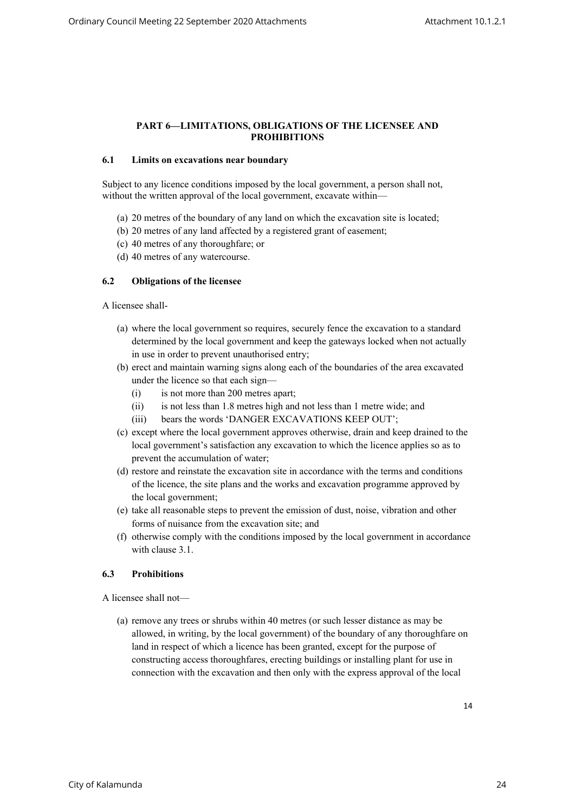#### **PART 6—LIMITATIONS, OBLIGATIONS OF THE LICENSEE AND PROHIBITIONS**

#### **6.1 Limits on excavations near boundary**

Subject to any licence conditions imposed by the local government, a person shall not, without the written approval of the local government, excavate within—

- (a) 20 metres of the boundary of any land on which the excavation site is located;
- (b) 20 metres of any land affected by a registered grant of easement;
- (c) 40 metres of any thoroughfare; or
- (d) 40 metres of any watercourse.

#### **6.2 Obligations of the licensee**

A licensee shall-

- (a) where the local government so requires, securely fence the excavation to a standard determined by the local government and keep the gateways locked when not actually in use in order to prevent unauthorised entry;
- (b) erect and maintain warning signs along each of the boundaries of the area excavated under the licence so that each sign—
	- (i) is not more than 200 metres apart;
	- (ii) is not less than 1.8 metres high and not less than 1 metre wide; and
	- (iii) bears the words 'DANGER EXCAVATIONS KEEP OUT';
- (c) except where the local government approves otherwise, drain and keep drained to the local government's satisfaction any excavation to which the licence applies so as to prevent the accumulation of water;
- (d) restore and reinstate the excavation site in accordance with the terms and conditions of the licence, the site plans and the works and excavation programme approved by the local government;
- (e) take all reasonable steps to prevent the emission of dust, noise, vibration and other forms of nuisance from the excavation site; and
- (f) otherwise comply with the conditions imposed by the local government in accordance with clause 3.1.

# **6.3 Prohibitions**

A licensee shall not—

(a) remove any trees or shrubs within 40 metres (or such lesser distance as may be allowed, in writing, by the local government) of the boundary of any thoroughfare on land in respect of which a licence has been granted, except for the purpose of constructing access thoroughfares, erecting buildings or installing plant for use in connection with the excavation and then only with the express approval of the local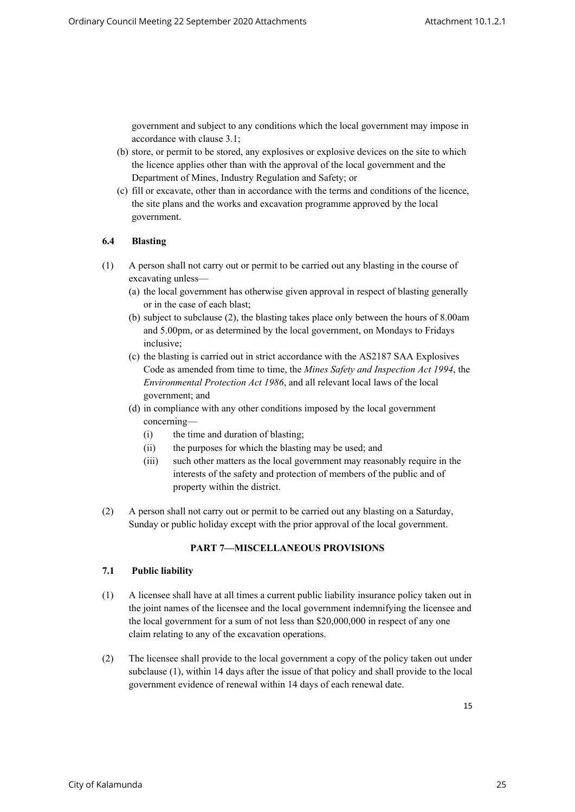government and subject to any conditions which the local government may impose in accordance with clause 3.1;

- (b) store, or permit to be stored, any explosives or explosive devices on the site to which the licence applies other than with the approval of the local government and the Department of Mines, Industry Regulation and Safety; or
- (c) fill or excavate, other than in accordance with the terms and conditions of the licence, the site plans and the works and excavation programme approved by the local government.

#### **6.4 Blasting**

- (1) A person shall not carry out or permit to be carried out any blasting in the course of excavating unless—
	- (a) the local government has otherwise given approval in respect of blasting generally or in the case of each blast;
	- (b) subject to subclause (2), the blasting takes place only between the hours of 8.00am and 5.00pm, or as determined by the local government, on Mondays to Fridays inclusive;
	- (c) the blasting is carried out in strict accordance with the AS2187 SAA Explosives Code as amended from time to time, the *Mines Safety and Inspection Act 1994*, the *Environmental Protection Act 1986*, and all relevant local laws of the local government; and
	- (d) in compliance with any other conditions imposed by the local government concerning—
		- (i) the time and duration of blasting;
		- (ii) the purposes for which the blasting may be used; and
		- (iii) such other matters as the local government may reasonably require in the interests of the safety and protection of members of the public and of property within the district.
- (2) A person shall not carry out or permit to be carried out any blasting on a Saturday, Sunday or public holiday except with the prior approval of the local government.

#### **PART 7—MISCELLANEOUS PROVISIONS**

#### **7.1 Public liability**

- (1) A licensee shall have at all times a current public liability insurance policy taken out in the joint names of the licensee and the local government indemnifying the licensee and the local government for a sum of not less than \$20,000,000 in respect of any one claim relating to any of the excavation operations.
- (2) The licensee shall provide to the local government a copy of the policy taken out under subclause (1), within 14 days after the issue of that policy and shall provide to the local government evidence of renewal within 14 days of each renewal date.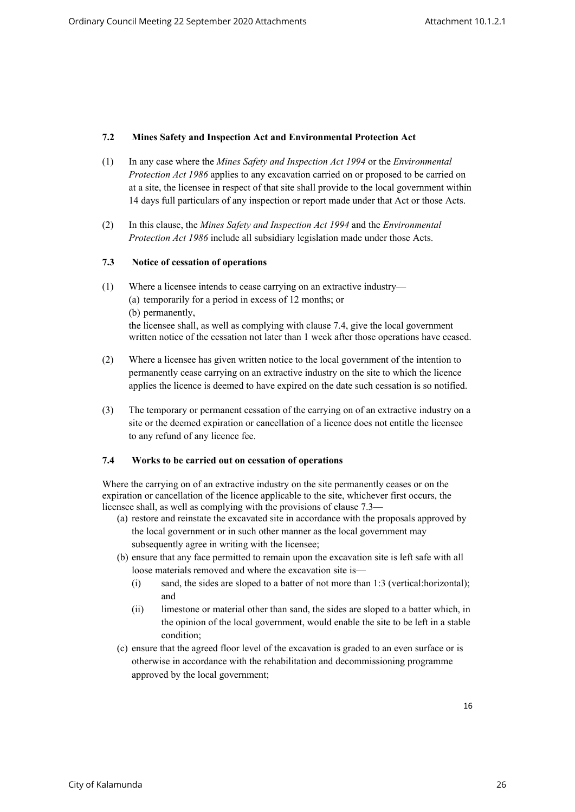### **7.2 Mines Safety and Inspection Act and Environmental Protection Act**

- (1) In any case where the *Mines Safety and Inspection Act 1994* or the *Environmental Protection Act 1986* applies to any excavation carried on or proposed to be carried on at a site, the licensee in respect of that site shall provide to the local government within 14 days full particulars of any inspection or report made under that Act or those Acts.
- (2) In this clause, the *Mines Safety and Inspection Act 1994* and the *Environmental Protection Act 1986* include all subsidiary legislation made under those Acts.

#### **7.3 Notice of cessation of operations**

- (1) Where a licensee intends to cease carrying on an extractive industry— (a) temporarily for a period in excess of 12 months; or (b) permanently, the licensee shall, as well as complying with clause 7.4, give the local government written notice of the cessation not later than 1 week after those operations have ceased.
- (2) Where a licensee has given written notice to the local government of the intention to permanently cease carrying on an extractive industry on the site to which the licence applies the licence is deemed to have expired on the date such cessation is so notified.
- (3) The temporary or permanent cessation of the carrying on of an extractive industry on a site or the deemed expiration or cancellation of a licence does not entitle the licensee to any refund of any licence fee.

#### **7.4 Works to be carried out on cessation of operations**

Where the carrying on of an extractive industry on the site permanently ceases or on the expiration or cancellation of the licence applicable to the site, whichever first occurs, the licensee shall, as well as complying with the provisions of clause 7.3—

- (a) restore and reinstate the excavated site in accordance with the proposals approved by the local government or in such other manner as the local government may subsequently agree in writing with the licensee:
- (b) ensure that any face permitted to remain upon the excavation site is left safe with all loose materials removed and where the excavation site is—
	- (i) sand, the sides are sloped to a batter of not more than 1:3 (vertical:horizontal); and
	- (ii) limestone or material other than sand, the sides are sloped to a batter which, in the opinion of the local government, would enable the site to be left in a stable condition;
- (c) ensure that the agreed floor level of the excavation is graded to an even surface or is otherwise in accordance with the rehabilitation and decommissioning programme approved by the local government;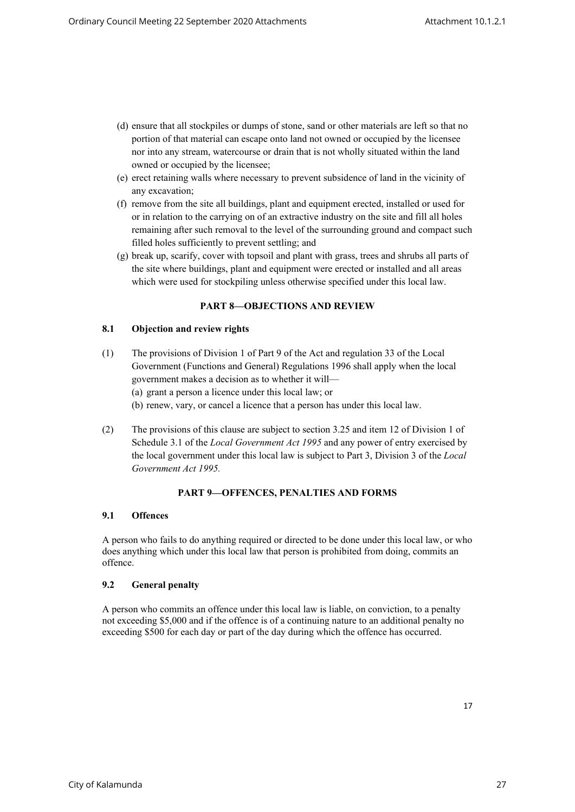- (d) ensure that all stockpiles or dumps of stone, sand or other materials are left so that no portion of that material can escape onto land not owned or occupied by the licensee nor into any stream, watercourse or drain that is not wholly situated within the land owned or occupied by the licensee;
- (e) erect retaining walls where necessary to prevent subsidence of land in the vicinity of any excavation;
- (f) remove from the site all buildings, plant and equipment erected, installed or used for or in relation to the carrying on of an extractive industry on the site and fill all holes remaining after such removal to the level of the surrounding ground and compact such filled holes sufficiently to prevent settling; and
- (g) break up, scarify, cover with topsoil and plant with grass, trees and shrubs all parts of the site where buildings, plant and equipment were erected or installed and all areas which were used for stockpiling unless otherwise specified under this local law.

# **PART 8—OBJECTIONS AND REVIEW**

#### **8.1 Objection and review rights**

- (1) The provisions of Division 1 of Part 9 of the Act and regulation 33 of the Local Government (Functions and General) Regulations 1996 shall apply when the local government makes a decision as to whether it will— (a) grant a person a licence under this local law; or (b) renew, vary, or cancel a licence that a person has under this local law.
- (2) The provisions of this clause are subject to section 3.25 and item 12 of Division 1 of Schedule 3.1 of the *Local Government Act 1995* and any power of entry exercised by the local government under this local law is subject to Part 3, Division 3 of the *Local Government Act 1995.*

#### **PART 9—OFFENCES, PENALTIES AND FORMS**

### **9.1 Offences**

A person who fails to do anything required or directed to be done under this local law, or who does anything which under this local law that person is prohibited from doing, commits an offence.

# **9.2 General penalty**

A person who commits an offence under this local law is liable, on conviction, to a penalty not exceeding \$5,000 and if the offence is of a continuing nature to an additional penalty no exceeding \$500 for each day or part of the day during which the offence has occurred.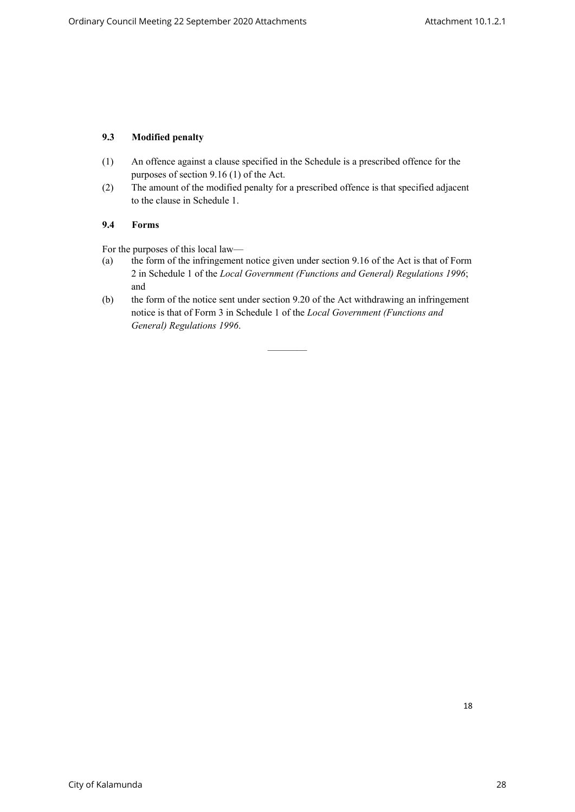# **9.3 Modified penalty**

- (1) An offence against a clause specified in the Schedule is a prescribed offence for the purposes of section 9.16 (1) of the Act.
- (2) The amount of the modified penalty for a prescribed offence is that specified adjacent to the clause in Schedule 1.

#### **9.4 Forms**

For the purposes of this local law—

- (a) the form of the infringement notice given under section 9.16 of the Act is that of Form 2 in Schedule 1 of the *Local Government (Functions and General) Regulations 1996*; and
- (b) the form of the notice sent under section 9.20 of the Act withdrawing an infringement notice is that of Form 3 in Schedule 1 of the *Local Government (Functions and General) Regulations 1996*.

————